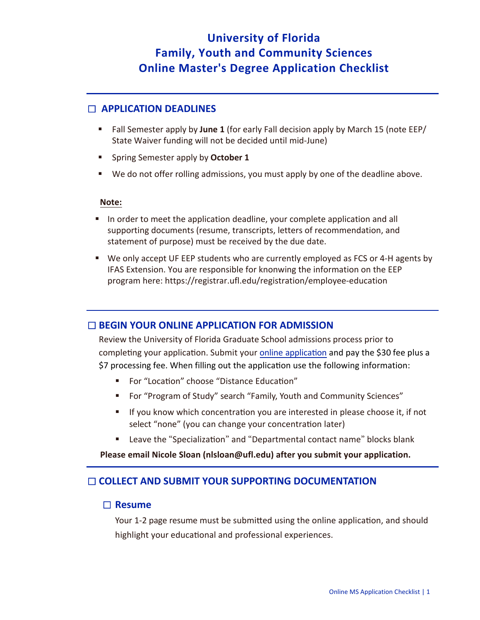# **University of Florida Family, Youth and Community Sciences Online Master's Degree Application Checklist**

## ☐ **APPLICATION DEADLINES**

- Fall Semester apply by **June 1** (for early Fall decision apply by March 15 (note EEP/ State Waiver funding will not be decided until mid-June)
- **EXPLO Spring Semester apply by October 1**
- We do not offer rolling admissions, you must apply by one of the deadline above.

#### **Note:**

- **IF** In order to meet the application deadline, your complete application and all supporting documents (resume, transcripts, letters of recommendation, and statement of purpose) must be received by the due date.
- We only accept UF EEP students who are currently employed as FCS or 4-H agents by IFAS Extension. You are responsible for knonwing the information on the EEP program here: https://registrar.ufl.edu/registration/employee-education

#### ☐ **BEGIN YOUR ONLINE APPLICATION FOR ADMISSION**

Review the University of Florida Graduate School admissions process prior to completing your application. Submit your online application and pay the \$30 fee plus a \$7 processing fee. When filling out the application use the following information:

- For "Location" choose "Distance Education"
- For "Program of Study" search "Family, Youth and Community Sciences"
- If you know which concentration you are interested in please choose it, if not select "none" (you can change your concentration later)
- **EXECTE:** Leave the "Specialization" and "Departmental contact name" blocks blank

**Please email Nicole Sloan (nlsloan@ufl.edu) after you submit your application.**

# ☐ **COLLECT AND SUBMIT YOUR SUPPORTING DOCUMENTATION**

#### ☐ **Resume**

Your 1-2 page resume must be submitted using the online application, and should highlight your educational and professional experiences.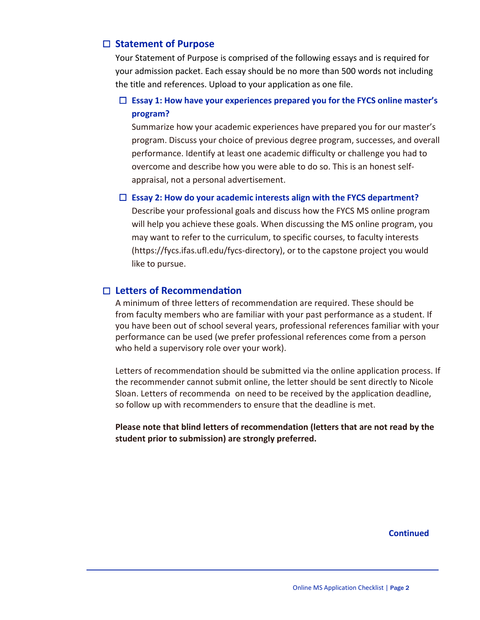### ☐ **Statement of Purpose**

Your Statement of Purpose is comprised of the following essays and is required for your admission packet. Each essay should be no more than 500 words not including the title and references. Upload to your application as one file.

## ☐ **Essay 1: How have your experiences prepared you for the FYCS online master's program?**

Summarize how your academic experiences have prepared you for our master's program. Discuss your choice of previous degree program, successes, and overall performance. Identify at least one academic difficulty or challenge you had to overcome and describe how you were able to do so. This is an honest selfappraisal, not a personal advertisement.

#### ☐ **Essay 2: How do your academic interests align with the FYCS department?**

Describe your professional goals and discuss how the FYCS MS online program will help you achieve these goals. When discussing the MS online program, you may want to refer to the curriculum, to specific courses, to faculty interests (https://fycs.ifas.ufl.edu/fycs-directory), or to the capstone project you would like to pursue.

### ☐ **Letters of Recommenda�on**

A minimum of three letters of recommendation are required. These should be from faculty members who are familiar with your past performance as a student. If you have been out of school several years, professional references familiar with your performance can be used (we prefer professional references come from a person who held a supervisory role over your work).

Letters of recommendation should be submitted via the online application process. If the recommender cannot submit online, the letter should be sent directly to Nicole Sloan. Letters of recommenda on need to be received by the application deadline, so follow up with recommenders to ensure that the deadline is met.

**Please note that blind letters of recommendation (letters that are not read by the student prior to submission) are strongly preferred.** 

**Continued**